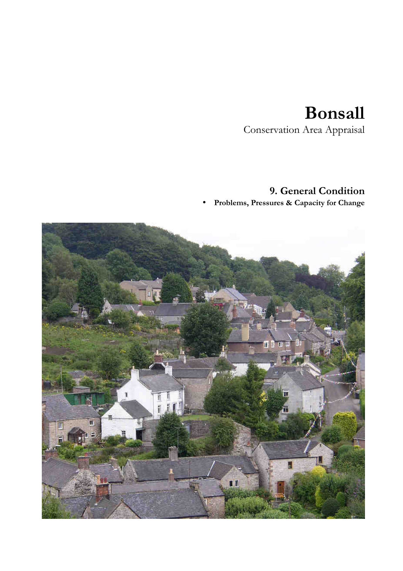# **Bonsall**

Conservation Area Appraisal

# **9. General Condition**

• **Problems, Pressures & Capacity for Change**

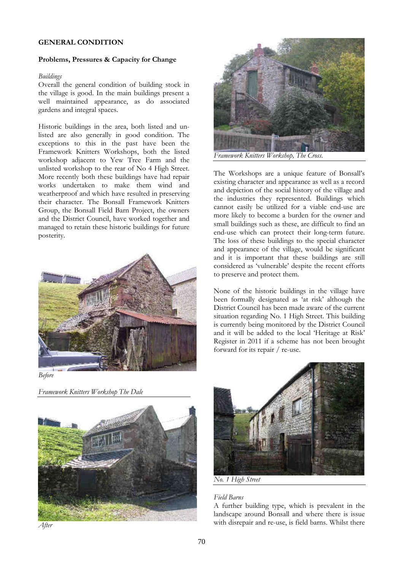# **GENERAL CONDITION**

## **Problems, Pressures & Capacity for Change**

#### *Buildings*

Overall the general condition of building stock in the village is good. In the main buildings present a well maintained appearance, as do associated gardens and integral spaces.

Historic buildings in the area, both listed and unlisted are also generally in good condition. The exceptions to this in the past have been the Framework Knitters Workshops, both the listed workshop adjacent to Yew Tree Farm and the unlisted workshop to the rear of No 4 High Street. More recently both these buildings have had repair works undertaken to make them wind and weatherproof and which have resulted in preserving their character. The Bonsall Framework Knitters Group, the Bonsall Field Barn Project, the owners and the District Council, have worked together and managed to retain these historic buildings for future posterity.





*Framework Knitters Workshop The Dale* 



*After* 



*Framework Knitters Workshop, The Cross.*

The Workshops are a unique feature of Bonsall's existing character and appearance as well as a record and depiction of the social history of the village and the industries they represented. Buildings which cannot easily be utilized for a viable end-use are more likely to become a burden for the owner and small buildings such as these, are difficult to find an end-use which can protect their long-term future. The loss of these buildings to the special character and appearance of the village, would be significant and it is important that these buildings are still considered as 'vulnerable' despite the recent efforts to preserve and protect them.

None of the historic buildings in the village have been formally designated as 'at risk' although the District Council has been made aware of the current situation regarding No. 1 High Street. This building is currently being monitored by the District Council and it will be added to the local 'Heritage at Risk' Register in 2011 if a scheme has not been brought forward for its repair / re-use.



*No. 1 High Street* 

#### *Field Barns*

A further building type, which is prevalent in the landscape around Bonsall and where there is issue with disrepair and re-use, is field barns. Whilst there